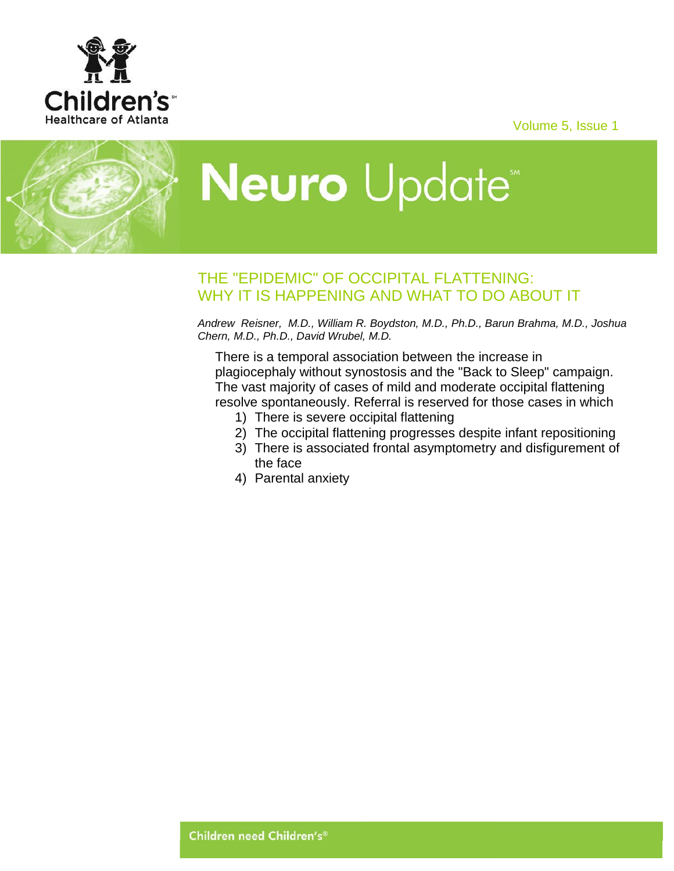Volume 5, Issue 1





## **Neuro** Update<sup>\*</sup>

## THE "EPIDEMIC" OF OCCIPITAL FLATTENING: WHY IT IS HAPPENING AND WHAT TO DO ABOUT IT

*Andrew Reisner, M.D., William R. Boydston, M.D., Ph.D., Barun Brahma, M.D., Joshua Chern, M.D., Ph.D., David Wrubel, M.D.*

There is a temporal association between the increase in plagiocephaly without synostosis and the "Back to Sleep" campaign. The vast majority of cases of mild and moderate occipital flattening resolve spontaneously. Referral is reserved for those cases in which

- 1) There is severe occipital flattening
- 2) The occipital flattening progresses despite infant repositioning
- 3) There is associated frontal asymptometry and disfigurement of the face
- 4) Parental anxiety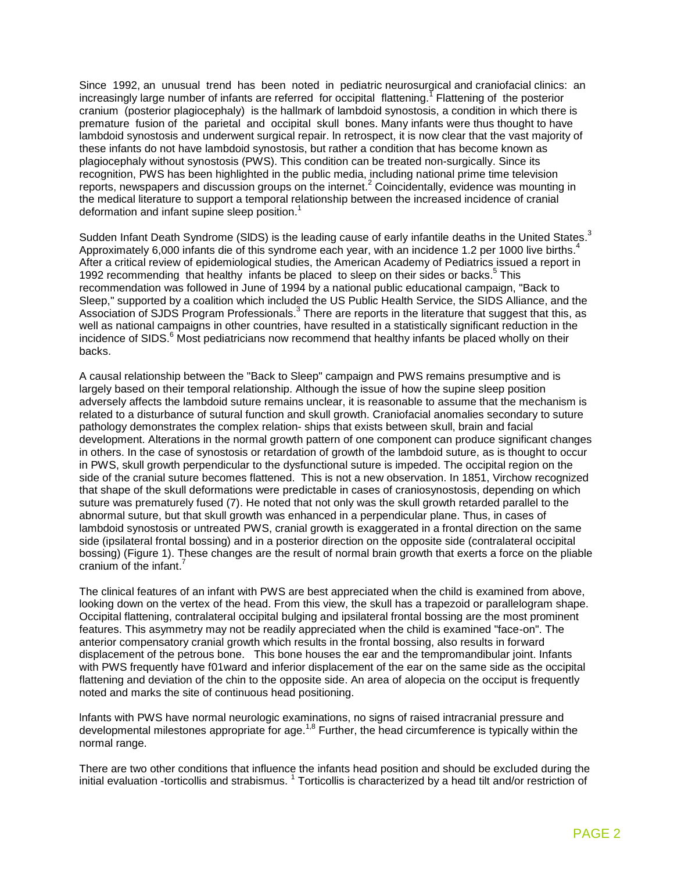Since 1992, an unusual trend has been noted in pediatric neurosurgical and craniofacial clinics: an increasingly large number of infants are referred for occipital flattening. Flattening of the posterior cranium (posterior plagiocephaly) is the hallmark of lambdoid synostosis, a condition in which there is premature fusion of the parietal and occipital skull bones. Many infants were thus thought to have lambdoid synostosis and underwent surgical repair. ln retrospect, it is now clear that the vast majority of these infants do not have lambdoid synostosis, but rather a condition that has become known as plagiocephaly without synostosis (PWS). This condition can be treated non-surgically. Since its recognition, PWS has been highlighted in the public media, including national prime time television reports, newspapers and discussion groups on the internet.<sup>2</sup> Coincidentally, evidence was mounting in the medical literature to support a temporal relationship between the increased incidence of cranial deformation and infant supine sleep position. 1

Sudden Infant Death Syndrome (SIDS) is the leading cause of early infantile deaths in the United States.<sup>3</sup> Approximately 6,000 infants die of this syndrome each year, with an incidence 1.2 per 1000 live births.<sup>4</sup> After a critical review of epidemiological studies, the American Academy of Pediatrics issued a report in 1992 recommending that healthy infants be placed to sleep on their sides or backs.<sup>5</sup> This recommendation was followed in June of 1994 by a national public educational campaign, "Back to Sleep," supported by a coalition which included the US Public Health Service, the SIDS Alliance, and the Association of SJDS Program Professionals.<sup>3</sup> There are reports in the literature that suggest that this, as well as national campaigns in other countries, have resulted in a statistically significant reduction in the incidence of SIDS. <sup>6</sup> Most pediatricians now recommend that healthy infants be placed wholly on their backs.

A causal relationship between the "Back to Sleep" campaign and PWS remains presumptive and is largely based on their temporal relationship. Although the issue of how the supine sleep position adversely affects the lambdoid suture remains unclear, it is reasonable to assume that the mechanism is related to a disturbance of sutural function and skull growth. Craniofacial anomalies secondary to suture pathology demonstrates the complex relation- ships that exists between skull, brain and facial development. Alterations in the normal growth pattern of one component can produce significant changes in others. In the case of synostosis or retardation of growth of the lambdoid suture, as is thought to occur in PWS, skull growth perpendicular to the dysfunctional suture is impeded. The occipital region on the side of the cranial suture becomes flattened. This is not a new observation. In 1851, Virchow recognized that shape of the skull deformations were predictable in cases of craniosynostosis, depending on which suture was prematurely fused (7). He noted that not only was the skull growth retarded parallel to the abnormal suture, but that skull growth was enhanced in a perpendicular plane. Thus, in cases of lambdoid synostosis or untreated PWS, cranial growth is exaggerated in a frontal direction on the same side (ipsilateral frontal bossing) and in a posterior direction on the opposite side (contralateral occipital bossing) (Figure 1). These changes are the result of normal brain growth that exerts a force on the pliable cranium of the infant.<sup>7</sup>

The clinical features of an infant with PWS are best appreciated when the child is examined from above, looking down on the vertex of the head. From this view, the skull has a trapezoid or parallelogram shape. Occipital flattening, contralateral occipital bulging and ipsilateral frontal bossing are the most prominent features. This asymmetry may not be readily appreciated when the child is examined "face-on". The anterior compensatory cranial growth which results in the frontal bossing, also results in forward displacement of the petrous bone. This bone houses the ear and the tempromandibular joint. Infants with PWS frequently have f01ward and inferior displacement of the ear on the same side as the occipital flattening and deviation of the chin to the opposite side. An area of alopecia on the occiput is frequently noted and marks the site of continuous head positioning.

lnfants with PWS have normal neurologic examinations, no signs of raised intracranial pressure and developmental milestones appropriate for age.<sup>1,8</sup> Further, the head circumference is typically within the normal range.

There are two other conditions that influence the infants head position and should be excluded during the initial evaluation -torticollis and strabismus. <sup>1</sup> Torticollis is characterized by a head tilt and/or restriction of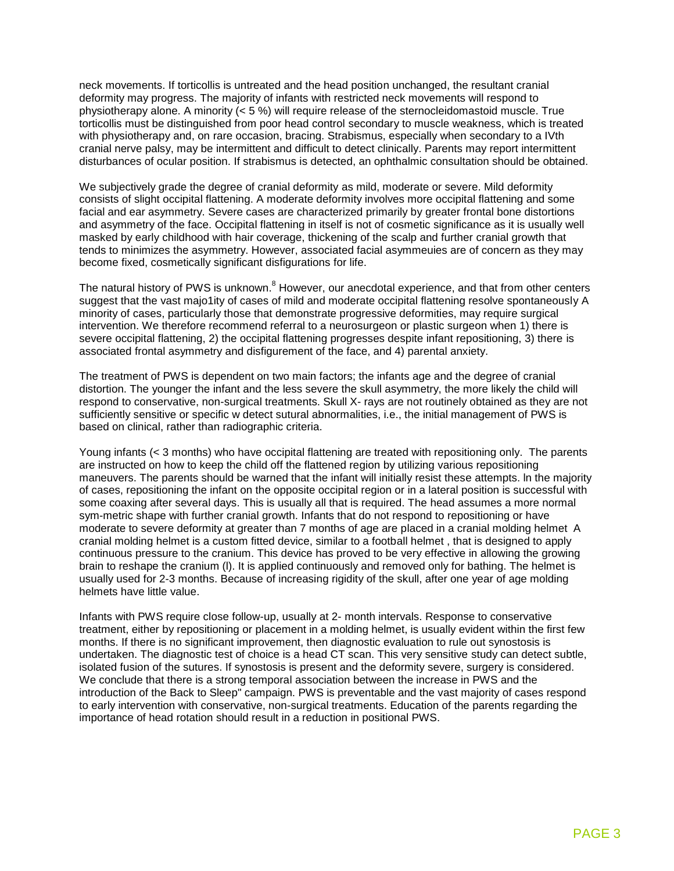neck movements. If torticollis is untreated and the head position unchanged, the resultant cranial deformity may progress. The majority of infants with restricted neck movements will respond to physiotherapy alone. A minority  $(5\%)$  will require release of the sternocleidomastoid muscle. True torticollis must be distinguished from poor head control secondary to muscle weakness, which is treated with physiotherapy and, on rare occasion, bracing. Strabismus, especially when secondary to a IVth cranial nerve palsy, may be intermittent and difficult to detect clinically. Parents may report intermittent disturbances of ocular position. If strabismus is detected, an ophthalmic consultation should be obtained.

We subjectively grade the degree of cranial deformity as mild, moderate or severe. Mild deformity consists of slight occipital flattening. A moderate deformity involves more occipital flattening and some facial and ear asymmetry. Severe cases are characterized primarily by greater frontal bone distortions and asymmetry of the face. Occipital flattening in itself is not of cosmetic significance as it is usually well masked by early childhood with hair coverage, thickening of the scalp and further cranial growth that tends to minimizes the asymmetry. However, associated facial asymmeuies are of concern as they may become fixed, cosmetically significant disfigurations for life.

The natural history of PWS is unknown.<sup>8</sup> However, our anecdotal experience, and that from other centers suggest that the vast majo1ity of cases of mild and moderate occipital flattening resolve spontaneously A minority of cases, particularly those that demonstrate progressive deformities, may require surgical intervention. We therefore recommend referral to a neurosurgeon or plastic surgeon when 1) there is severe occipital flattening, 2) the occipital flattening progresses despite infant repositioning, 3) there is associated frontal asymmetry and disfigurement of the face, and 4) parental anxiety.

The treatment of PWS is dependent on two main factors; the infants age and the degree of cranial distortion. The younger the infant and the less severe the skull asymmetry, the more likely the child will respond to conservative, non-surgical treatments. Skull X- rays are not routinely obtained as they are not sufficiently sensitive or specific w detect sutural abnormalities, i.e., the initial management of PWS is based on clinical, rather than radiographic criteria.

Young infants (< 3 months) who have occipital flattening are treated with repositioning only. The parents are instructed on how to keep the child off the flattened region by utilizing various repositioning maneuvers. The parents should be warned that the infant will initially resist these attempts. ln the majority of cases, repositioning the infant on the opposite occipital region or in a lateral position is successful with some coaxing after several days. This is usually all that is required. The head assumes a more normal sym-metric shape with further cranial growth. Infants that do not respond to repositioning or have moderate to severe deformity at greater than 7 months of age are placed in a cranial molding helmet A cranial molding helmet is a custom fitted device, similar to a football helmet , that is designed to apply continuous pressure to the cranium. This device has proved to be very effective in allowing the growing brain to reshape the cranium (l). It is applied continuously and removed only for bathing. The helmet is usually used for 2-3 months. Because of increasing rigidity of the skull, after one year of age molding helmets have little value.

Infants with PWS require close follow-up, usually at 2- month intervals. Response to conservative treatment, either by repositioning or placement in a molding helmet, is usually evident within the first few months. If there is no significant improvement, then diagnostic evaluation to rule out synostosis is undertaken. The diagnostic test of choice is a head CT scan. This very sensitive study can detect subtle, isolated fusion of the sutures. If synostosis is present and the deformity severe, surgery is considered. We conclude that there is a strong temporal association between the increase in PWS and the introduction of the Back to Sleep" campaign. PWS is preventable and the vast majority of cases respond to early intervention with conservative, non-surgical treatments. Education of the parents regarding the importance of head rotation should result in a reduction in positional PWS.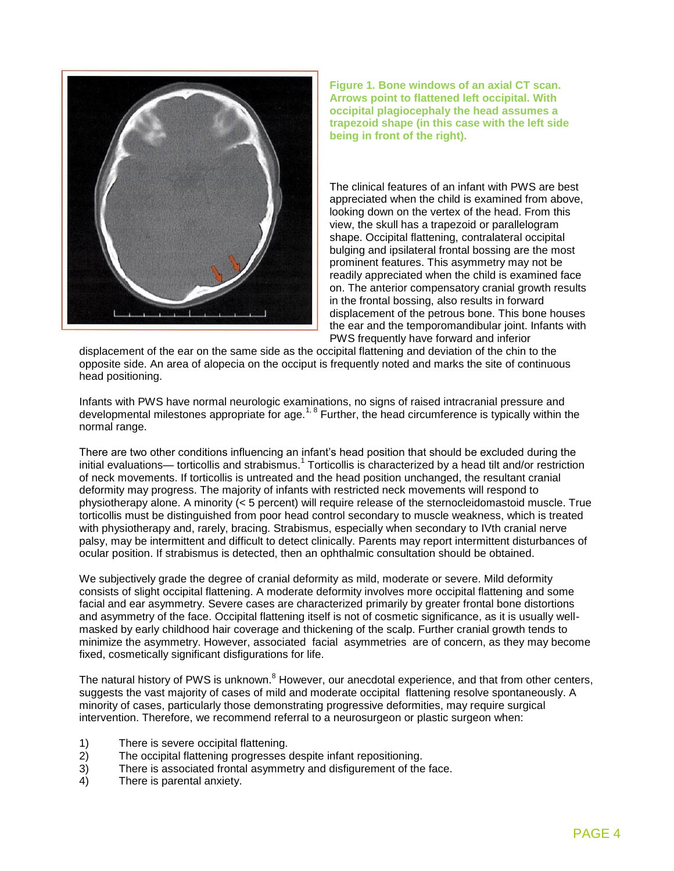

**Figure 1. Bone windows of an axial CT scan. Arrows point to flattened left occipital. With occipital plagiocephaly the head assumes a trapezoid shape (in this case with the left side being in front of the right).**

The clinical features of an infant with PWS are best appreciated when the child is examined from above, looking down on the vertex of the head. From this view, the skull has a trapezoid or parallelogram shape. Occipital flattening, contralateral occipital bulging and ipsilateral frontal bossing are the most prominent features. This asymmetry may not be readily appreciated when the child is examined face on. The anterior compensatory cranial growth results in the frontal bossing, also results in forward displacement of the petrous bone. This bone houses the ear and the temporomandibular joint. Infants with PWS frequently have forward and inferior

displacement of the ear on the same side as the occipital flattening and deviation of the chin to the opposite side. An area of alopecia on the occiput is frequently noted and marks the site of continuous head positioning.

Infants with PWS have normal neurologic examinations, no signs of raised intracranial pressure and developmental milestones appropriate for age.<sup>1, 8</sup> Further, the head circumference is typically within the normal range.

There are two other conditions influencing an infant's head position that should be excluded during the initial evaluations— torticollis and strabismus.<sup>1</sup> Torticollis is characterized by a head tilt and/or restriction of neck movements. If torticollis is untreated and the head position unchanged, the resultant cranial deformity may progress. The majority of infants with restricted neck movements will respond to physiotherapy alone. A minority (< 5 percent) will require release of the sternocleidomastoid muscle. True torticollis must be distinguished from poor head control secondary to muscle weakness, which is treated with physiotherapy and, rarely, bracing. Strabismus, especially when secondary to IVth cranial nerve palsy, may be intermittent and difficult to detect clinically. Parents may report intermittent disturbances of ocular position. If strabismus is detected, then an ophthalmic consultation should be obtained.

We subjectively grade the degree of cranial deformity as mild, moderate or severe. Mild deformity consists of slight occipital flattening. A moderate deformity involves more occipital flattening and some facial and ear asymmetry. Severe cases are characterized primarily by greater frontal bone distortions and asymmetry of the face. Occipital flattening itself is not of cosmetic significance, as it is usually wellmasked by early childhood hair coverage and thickening of the scalp. Further cranial growth tends to minimize the asymmetry. However, associated facial asymmetries are of concern, as they may become fixed, cosmetically significant disfigurations for life.

The natural history of PWS is unknown.<sup>8</sup> However, our anecdotal experience, and that from other centers, suggests the vast majority of cases of mild and moderate occipital flattening resolve spontaneously. A minority of cases, particularly those demonstrating progressive deformities, may require surgical intervention. Therefore, we recommend referral to a neurosurgeon or plastic surgeon when:

- 1) There is severe occipital flattening.<br>2) The occipital flattening progresses
- 2) The occipital flattening progresses despite infant repositioning.<br>3) There is associated frontal asymmetry and disfigurement of the
- There is associated frontal asymmetry and disfigurement of the face.
- 4) There is parental anxiety.